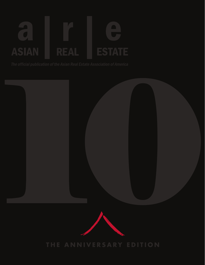### $\blacksquare$ **ASIAN** REAL **ESTATE**